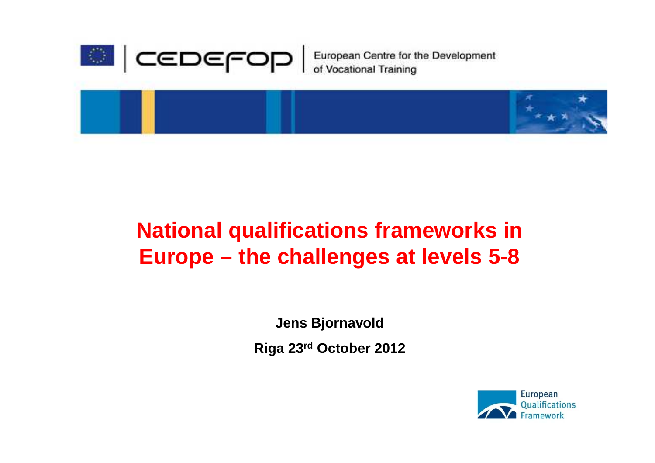

European Centre for the Development<br>of Vocational Training



### **National qualifications frameworks in Europe – the challenges at levels 5-8**

**Jens Bjornavold**

**Riga 23rd October 2012**

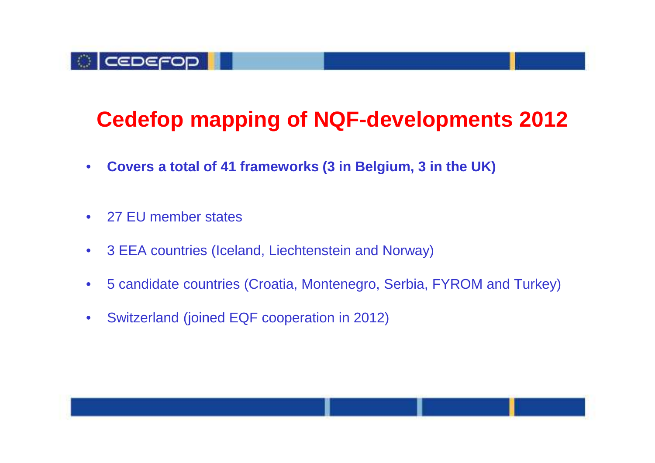

### **Cedefop mapping of NQF-developments 2012**

- $\bullet$ **Covers a total of 41 frameworks (3 in Belgium, 3 in the UK)**
- $\bullet$ 27 EU member states
- $\bullet$ 3 EEA countries (Iceland, Liechtenstein and Norway)
- $\bullet$ 5 candidate countries (Croatia, Montenegro, Serbia, FYROM and Turkey)
- $\bullet$ Switzerland (joined EQF cooperation in 2012)

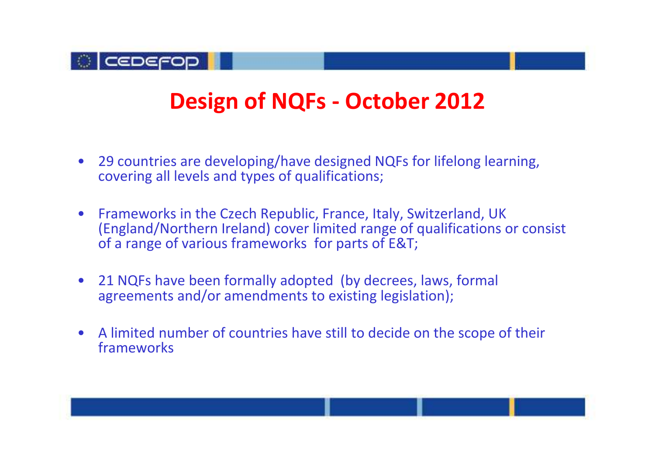

### **Design of NQFs - October 2012**

- 29 countries are developing/have designed NQFs for lifelong learning, covering all levels and types of qualifications;
- • Frameworks in the Czech Republic, France, Italy, Switzerland, UK (England/Northern Ireland) cover limited range of qualifications or consist of a range of various frameworks for parts of E&T;
- 21 NQFs have been formally adopted (by decrees, laws, formal agreements and/or amendments to existing legislation);
- A limited number of countries have still to decide on the scope of their frameworks

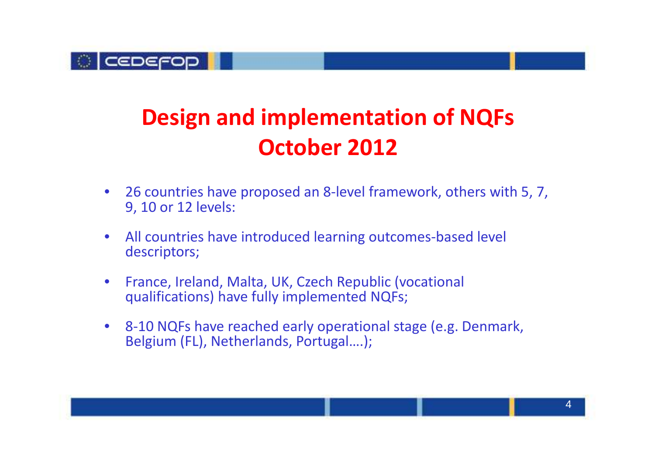

## **Design and implementation of NQFs October 2012**

- • 26 countries have proposed an 8-level framework, others with 5, 7, 9, 10 or 12 levels:
- $\bullet$  All countries have introduced learning outcomes-based level descriptors;
- • France, Ireland, Malta, UK, Czech Republic (vocational qualifications) have fully implemented NQFs;
- $\bullet$  8-10 NQFs have reached early operational stage (e.g. Denmark, Belgium (FL), Netherlands, Portugal….);

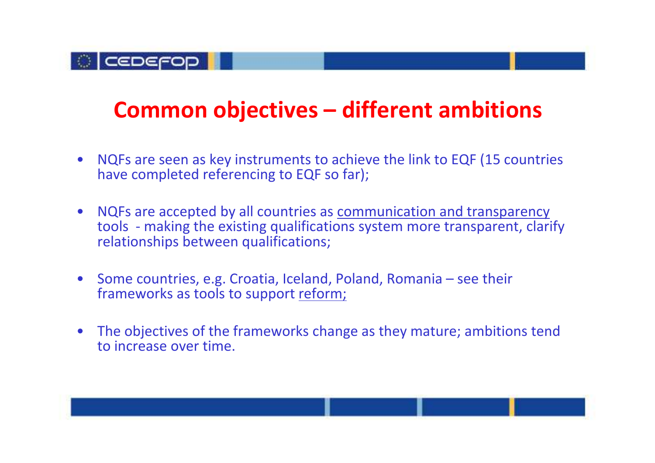#### **OLCEDEFOD**

### **Common objectives – different ambitions**

- $\bullet$  NQFs are seen as key instruments to achieve the link to EQF (15 countries have completed referencing to EQF so far);
- NQFs are accepted by all countries as <u>communication and transparency</u> tools - making the existing qualifications system more transparent, clarify relationships between qualifications;
- Some countries, e.g. Croatia, Iceland, Poland, Romania see their frameworks as tools to support reform;
- The objectives of the frameworks change as they mature; ambitions tend to increase over time.

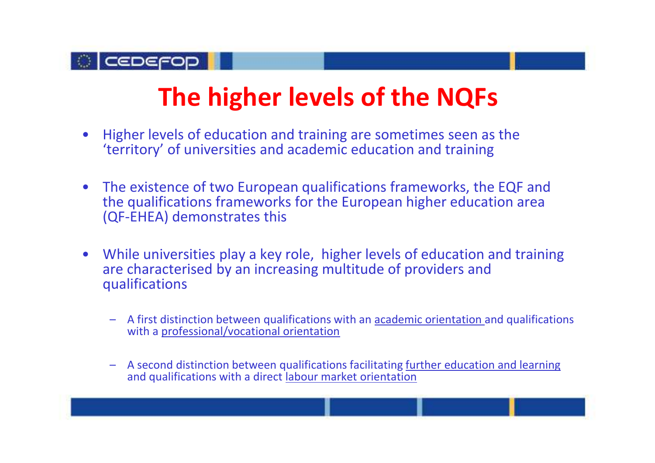

# **The higher levels of the NQFs**

- $\bullet$  Higher levels of education and training are sometimes seen as the 'territory' of universities and academic education and training
- $\bullet$  The existence of two European qualifications frameworks, the EQF and the qualifications frameworks for the European higher education area (QF-EHEA) demonstrates this
- $\bullet$  While universities play a key role, higher levels of education and training are characterised by an increasing multitude of providers and qualifications
	- A first distinction between qualifications with an academic orientation and qualifications with a professional/vocational orientation
	- – A second distinction between qualifications facilitating further education and learning and qualifications with a direct labour market orientation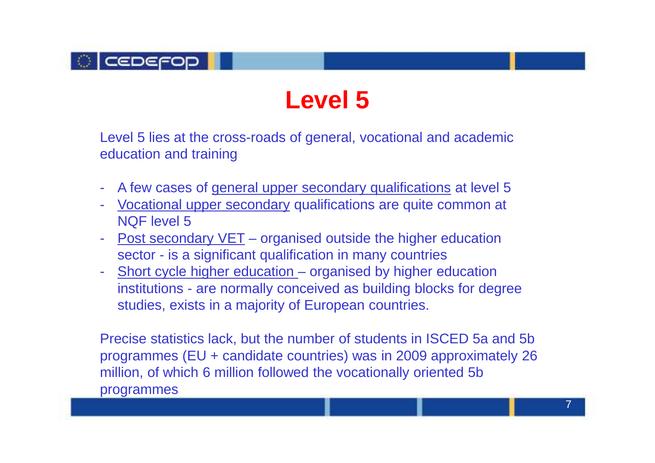

# **Level 5**

Level 5 lies at the cross-roads of general, vocational and academic education and training

- -A few cases of general upper secondary qualifications at level 5
- Vocational upper secondary qualifications are quite common at NQF level 5
- Post secondary VET organised outside the higher education sector - is a significant qualification in many countries
- Short cycle higher education organised by higher education institutions - are normally conceived as building blocks for degree studies, exists in a majority of European countries.

Precise statistics lack, but the number of students in ISCED 5a and 5b programmes (EU + candidate countries) was in 2009 approximately 26 million, of which 6 million followed the vocationally oriented 5b programmes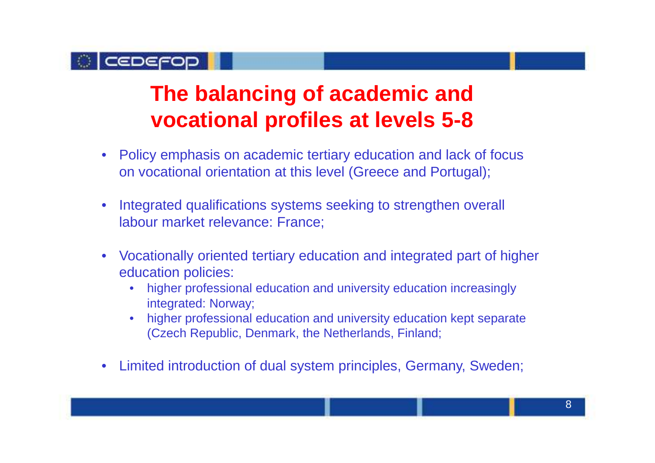

### **The balancing of academic and vocational profiles at levels 5-8**

- $\bullet$  Policy emphasis on academic tertiary education and lack of focus on vocational orientation at this level (Greece and Portugal);
- • Integrated qualifications systems seeking to strengthen overall labour market relevance: France;
- • Vocationally oriented tertiary education and integrated part of higher education policies:
	- • higher professional education and university education increasingly integrated: Norway;
	- • higher professional education and university education kept separate (Czech Republic, Denmark, the Netherlands, Finland;
- •Limited introduction of dual system principles, Germany, Sweden;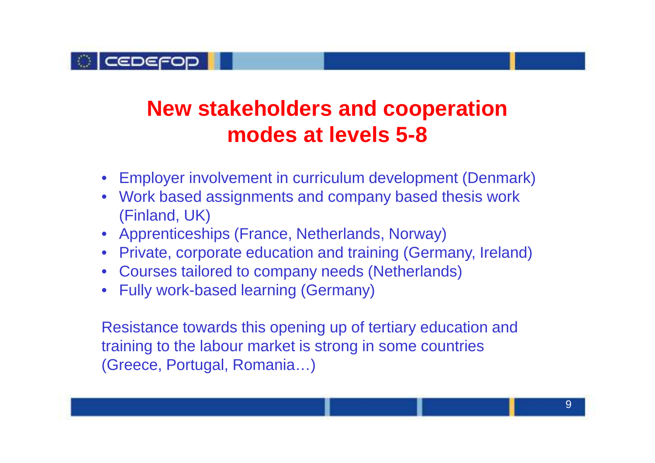

### **New stakeholders and cooperation modes at levels 5-8**

- Employer involvement in curriculum development (Denmark)
- Work based assignments and company based thesis work (Finland, UK)
- Apprenticeships (France, Netherlands, Norway)
- Private, corporate education and training (Germany, Ireland)
- Courses tailored to company needs (Netherlands)
- Fully work-based learning (Germany)

Resistance towards this opening up of tertiary education and training to the labour market is strong in some countries (Greece, Portugal, Romania…)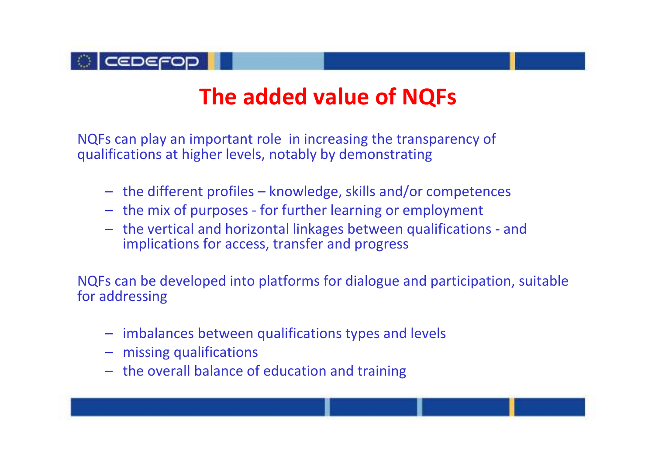

### **The added value of NQFs**

NQFs can play an important role in increasing the transparency of qualifications at higher levels, notably by demonstrating

- the different profiles knowledge, skills and/or competences
- the mix of purposes for further learning or employment
- the vertical and horizontal linkages between qualifications and implications for access, transfer and progress

NQFs can be developed into platforms for dialogue and participation, suitable for addressing

- imbalances between qualifications types and levels
- missing qualifications
- the overall balance of education and training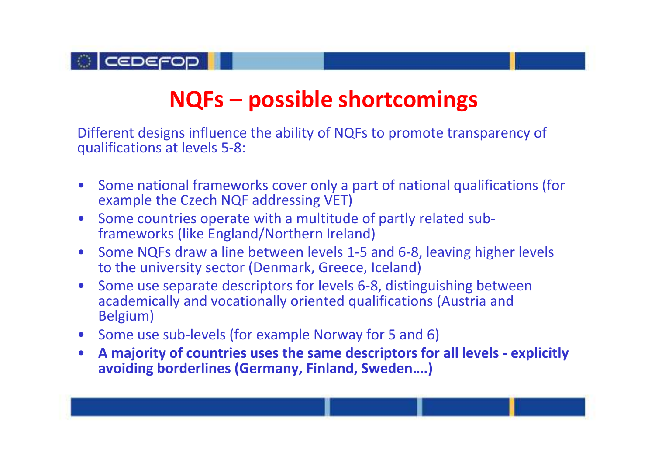

### **NQFs – possible shortcomings**

Different designs influence the ability of NQFs to promote transparency of qualifications at levels 5-8:

- Some national frameworks cover only a part of national qualifications (for example the Czech NQF addressing VET)
- Some countries operate with a multitude of partly related sub-<br>Conveniently final part (Newtherm technol) frameworks (like England/Northern Ireland)
- • Some NQFs draw a line between levels 1-5 and 6-8, leaving higher levels to the university sector (Denmark, Greece, Iceland)
- • Some use separate descriptors for levels 6-8, distinguishing between academically and vocationally oriented qualifications (Austria and Belgium)
- Some use sub-levels (for example Norway for 5 and 6)
- • **A majority of countries uses the same descriptors for all levels - explicitly avoiding borderlines (Germany, Finland, Sweden….)**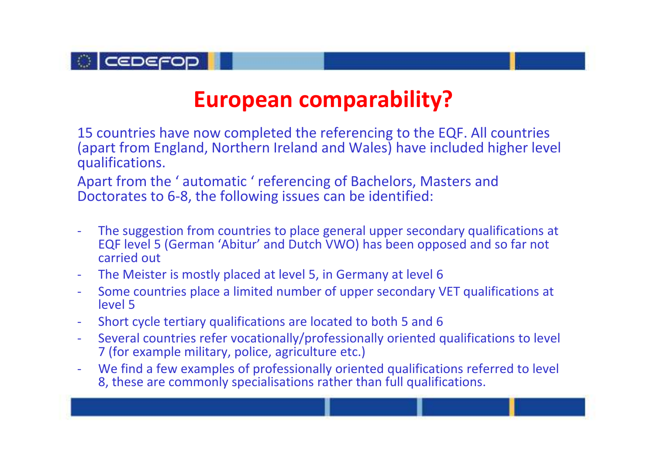

#### **European comparability?**

15 countries have now completed the referencing to the EQF. All countries (apart from England, Northern Ireland and Wales) have included higher level qualifications.

Apart from the ' automatic ' referencing of Bachelors, Masters and Doctorates to 6-8, the following issues can be identified:

- The suggestion from countries to place general upper secondary qualifications at EQF level 5 (German 'Abitur' and Dutch VWO) has been opposed and so far not carried out
- The Meister is mostly placed at level 5, in Germany at level 6
- Some countries place a limited number of upper secondary VET qualifications at level 5
- Short cycle tertiary qualifications are located to both 5 and 6
- Several countries refer vocationally/professionally oriented qualifications to level 7 (for example military, police, agriculture etc.)
- We find a few examples of professionally oriented qualifications referred to level 8, these are commonly specialisations rather than full qualifications.